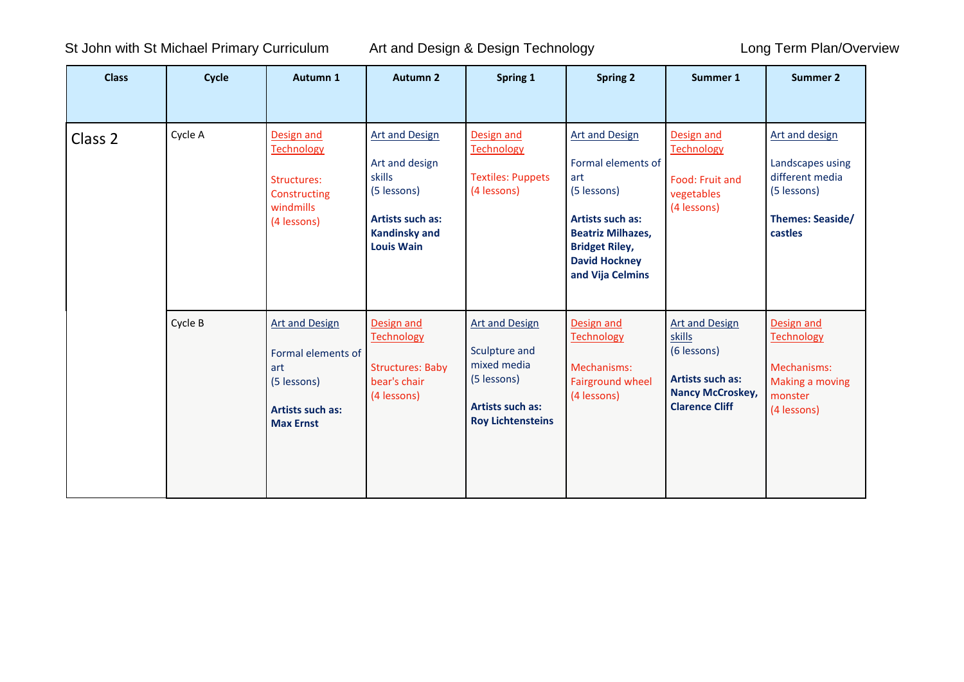St John with St Michael Primary Curriculum Art and Design & Design Technology **Long Term Plan/Overview** 

| <b>Class</b> | Cycle   | Autumn 1                                                                                                  | <b>Autumn 2</b>                                                                                                                          | Spring 1                                                                                                             | <b>Spring 2</b>                                                                                                                                                                               | Summer 1                                                                                                                      | <b>Summer 2</b>                                                                                            |
|--------------|---------|-----------------------------------------------------------------------------------------------------------|------------------------------------------------------------------------------------------------------------------------------------------|----------------------------------------------------------------------------------------------------------------------|-----------------------------------------------------------------------------------------------------------------------------------------------------------------------------------------------|-------------------------------------------------------------------------------------------------------------------------------|------------------------------------------------------------------------------------------------------------|
| Class 2      | Cycle A | Design and<br><b>Technology</b><br>Structures:<br>Constructing<br>windmills<br>(4 lessons)                | <b>Art and Design</b><br>Art and design<br>skills<br>(5 lessons)<br><b>Artists such as:</b><br><b>Kandinsky and</b><br><b>Louis Wain</b> | Design and<br><b>Technology</b><br><b>Textiles: Puppets</b><br>(4 lessons)                                           | <b>Art and Design</b><br>Formal elements of<br>art<br>(5 lessons)<br><b>Artists such as:</b><br><b>Beatriz Milhazes,</b><br><b>Bridget Riley,</b><br><b>David Hockney</b><br>and Vija Celmins | Design and<br><b>Technology</b><br>Food: Fruit and<br>vegetables<br>(4 lessons)                                               | Art and design<br>Landscapes using<br>different media<br>(5 lessons)<br><b>Themes: Seaside/</b><br>castles |
|              | Cycle B | <b>Art and Design</b><br>Formal elements of<br>art<br>(5 lessons)<br>Artists such as:<br><b>Max Ernst</b> | Design and<br><b>Technology</b><br><b>Structures: Baby</b><br>bear's chair<br>(4 lessons)                                                | <b>Art and Design</b><br>Sculpture and<br>mixed media<br>(5 lessons)<br>Artists such as:<br><b>Roy Lichtensteins</b> | Design and<br><b>Technology</b><br>Mechanisms:<br><b>Fairground wheel</b><br>(4 lessons)                                                                                                      | <b>Art and Design</b><br>skills<br>(6 lessons)<br><b>Artists such as:</b><br><b>Nancy McCroskey,</b><br><b>Clarence Cliff</b> | Design and<br><b>Technology</b><br>Mechanisms:<br>Making a moving<br>monster<br>(4 lessons)                |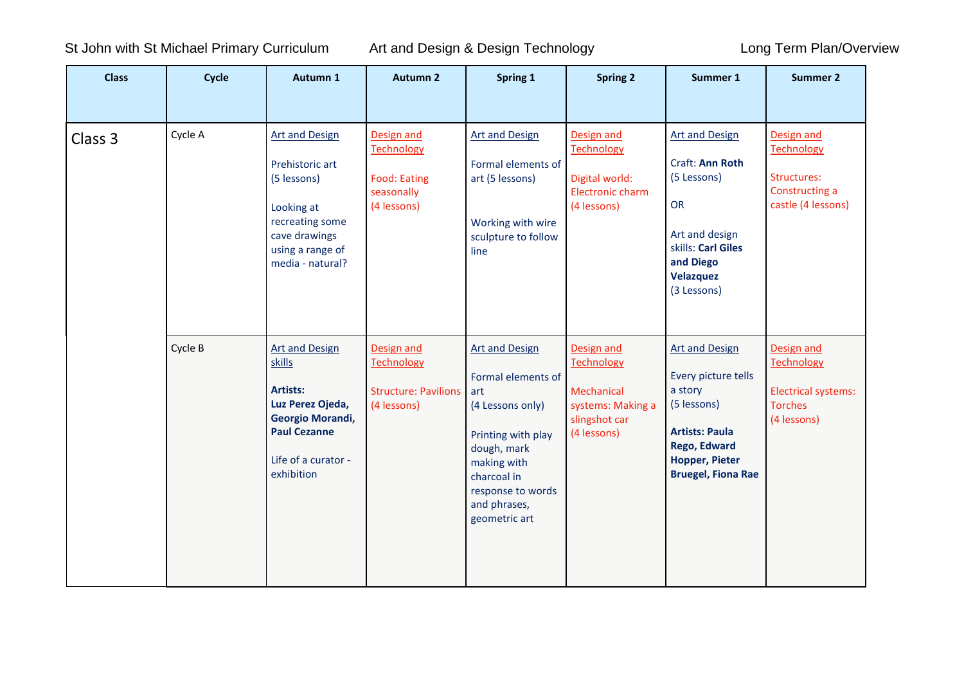St John with St Michael Primary Curriculum Art and Design & Design Technology Long Term Plan/Overview

| <b>Class</b> | Cycle   | Autumn 1                                                                                                                                          | <b>Autumn 2</b>                                                                     | Spring 1                                                                                                                                                                                        | <b>Spring 2</b>                                                                                    | Summer 1                                                                                                                                                                     | <b>Summer 2</b>                                                                         |
|--------------|---------|---------------------------------------------------------------------------------------------------------------------------------------------------|-------------------------------------------------------------------------------------|-------------------------------------------------------------------------------------------------------------------------------------------------------------------------------------------------|----------------------------------------------------------------------------------------------------|------------------------------------------------------------------------------------------------------------------------------------------------------------------------------|-----------------------------------------------------------------------------------------|
| Class 3      | Cycle A | <b>Art and Design</b><br>Prehistoric art<br>(5 lessons)<br>Looking at<br>recreating some<br>cave drawings<br>using a range of<br>media - natural? | Design and<br><b>Technology</b><br><b>Food: Eating</b><br>seasonally<br>(4 lessons) | <b>Art and Design</b><br>Formal elements of<br>art (5 lessons)<br>Working with wire<br>sculpture to follow<br>line                                                                              | Design and<br>Technology<br>Digital world:<br>Electronic charm<br>(4 lessons)                      | <b>Art and Design</b><br>Craft: Ann Roth<br>(5 Lessons)<br>OR<br>Art and design<br>skills: Carl Giles<br>and Diego<br>Velazquez<br>(3 Lessons)                               | Design and<br>Technology<br>Structures:<br>Constructing a<br>castle (4 lessons)         |
|              | Cycle B | <b>Art and Design</b><br>skills<br>Artists:<br>Luz Perez Ojeda,<br>Georgio Morandi,<br><b>Paul Cezanne</b><br>Life of a curator -<br>exhibition   | Design and<br><b>Technology</b><br><b>Structure: Pavilions</b><br>(4 lessons)       | <b>Art and Design</b><br>Formal elements of<br>art<br>(4 Lessons only)<br>Printing with play<br>dough, mark<br>making with<br>charcoal in<br>response to words<br>and phrases,<br>geometric art | Design and<br><b>Technology</b><br>Mechanical<br>systems: Making a<br>slingshot car<br>(4 lessons) | <b>Art and Design</b><br>Every picture tells<br>a story<br>(5 lessons)<br><b>Artists: Paula</b><br><b>Rego, Edward</b><br><b>Hopper, Pieter</b><br><b>Bruegel, Fiona Rae</b> | Design and<br><b>Technology</b><br>Electrical systems:<br><b>Torches</b><br>(4 lessons) |